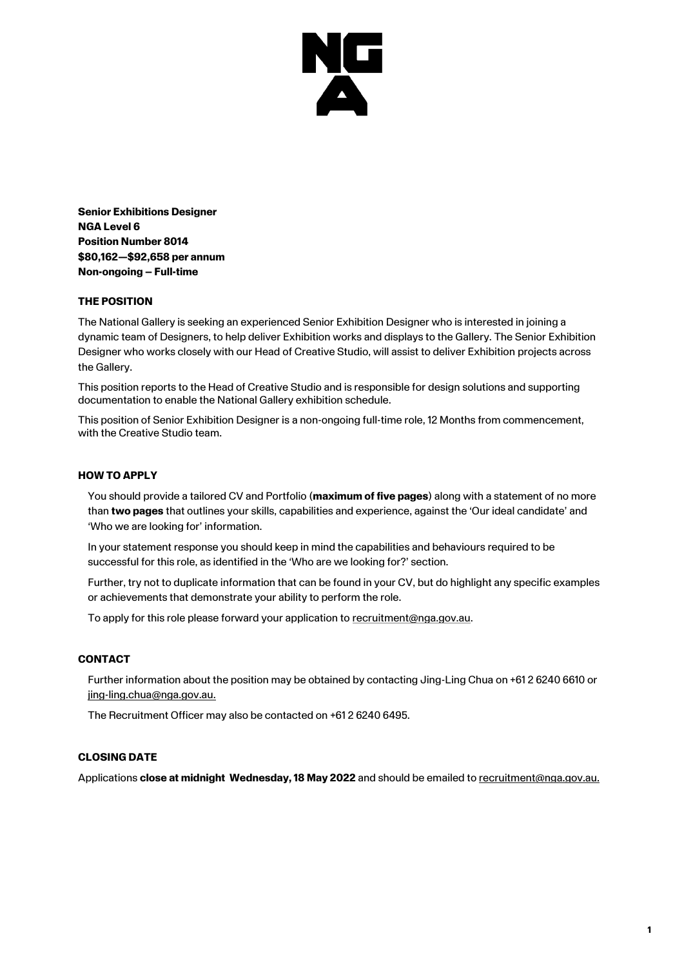

**Senior Exhibitions Designer NGA Level 6 Position Number 8014 \$80,162—\$92,658 per annum Non-ongoing – Full-time**

## **THE POSITION**

The National Gallery is seeking an experienced Senior Exhibition Designer who is interested in joining a dynamic team of Designers, to help deliver Exhibition works and displays to the Gallery. The Senior Exhibition Designer who works closely with our Head of Creative Studio, will assist to deliver Exhibition projects across the Gallery.

This position reports to the Head of Creative Studio and is responsible for design solutions and supporting documentation to enable the National Gallery exhibition schedule.

This position of Senior Exhibition Designer is a non-ongoing full-time role, 12 Months from commencement, with the Creative Studio team.

#### **HOW TO APPLY**

You should provide a tailored CV and Portfolio (**maximum of five pages**) along with a statement of no more than **two pages** that outlines your skills, capabilities and experience, against the 'Our ideal candidate' and 'Who we are looking for' information.

In your statement response you should keep in mind the capabilities and behaviours required to be successful for this role, as identified in the 'Who are we looking for?' section.

Further, try not to duplicate information that can be found in your CV, but do highlight any specific examples or achievements that demonstrate your ability to perform the role.

To apply for this role please forward your application to [recruitment@nga.gov.au.](mailto:recruitment@nga.gov.au)

## **CONTACT**

Further information about the position may be obtained by contacting Jing-Ling Chua on +61 2 6240 6610 or [jing-ling.chua@nga.gov.au.](mailto:jing-ling.chua@nga.gov.au)

The Recruitment Officer may also be contacted on +61 2 6240 6495.

## **CLOSING DATE**

Applications **close at midnight Wednesday, 18 May 2022** and should be emailed to [recruitment@nga.gov.au.](file://///NGAVFS02/Groups/PubAffairs/29.%20Studio%20Ongarato/__REBRAND/HR/recruitment@nga.gov.au)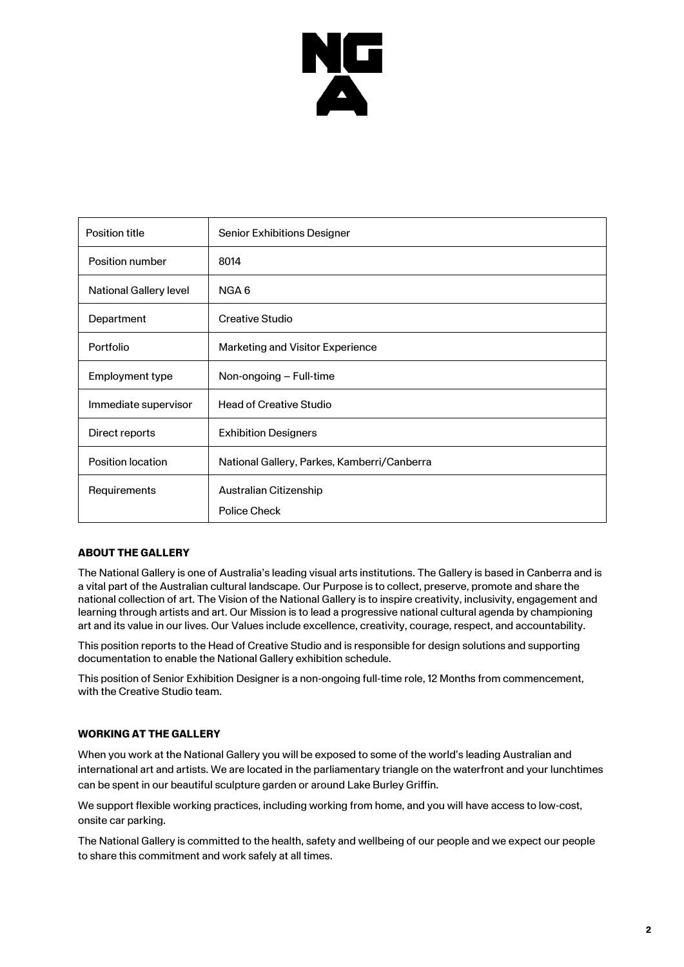

| Position title                | Senior Exhibitions Designer                 |
|-------------------------------|---------------------------------------------|
| Position number               | 8014                                        |
| <b>National Gallery level</b> | NGA 6                                       |
| Department                    | Creative Studio                             |
| Portfolio                     | Marketing and Visitor Experience            |
| Employment type               | Non-ongoing – Full-time                     |
| Immediate supervisor          | <b>Head of Creative Studio</b>              |
| Direct reports                | <b>Exhibition Designers</b>                 |
| <b>Position location</b>      | National Gallery, Parkes, Kamberri/Canberra |
| Requirements                  | Australian Citizenship                      |
|                               | <b>Police Check</b>                         |

# **ABOUT THE GALLERY**

The National Gallery is one of Australia's leading visual arts institutions. The Gallery is based in Canberra and is a vital part of the Australian cultural landscape. Our Purpose is to collect, preserve, promote and share the national collection of art. The Vision of the National Gallery is to inspire creativity, inclusivity, engagement and learning through artists and art. Our Mission is to lead a progressive national cultural agenda by championing art and its value in our lives. Our Values include excellence, creativity, courage, respect, and accountability.

This position reports to the Head of Creative Studio and is responsible for design solutions and supporting documentation to enable the National Gallery exhibition schedule.

This position of Senior Exhibition Designer is a non-ongoing full-time role, 12 Months from commencement, with the Creative Studio team.

## **WORKING AT THE GALLERY**

When you work at the National Gallery you will be exposed to some of the world's leading Australian and international art and artists. We are located in the parliamentary triangle on the waterfront and your lunchtimes can be spent in our beautiful sculpture garden or around Lake Burley Griffin.

We support flexible working practices, including working from home, and you will have access to low-cost, onsite car parking.

The National Gallery is committed to the health, safety and wellbeing of our people and we expect our people to share this commitment and work safely at all times.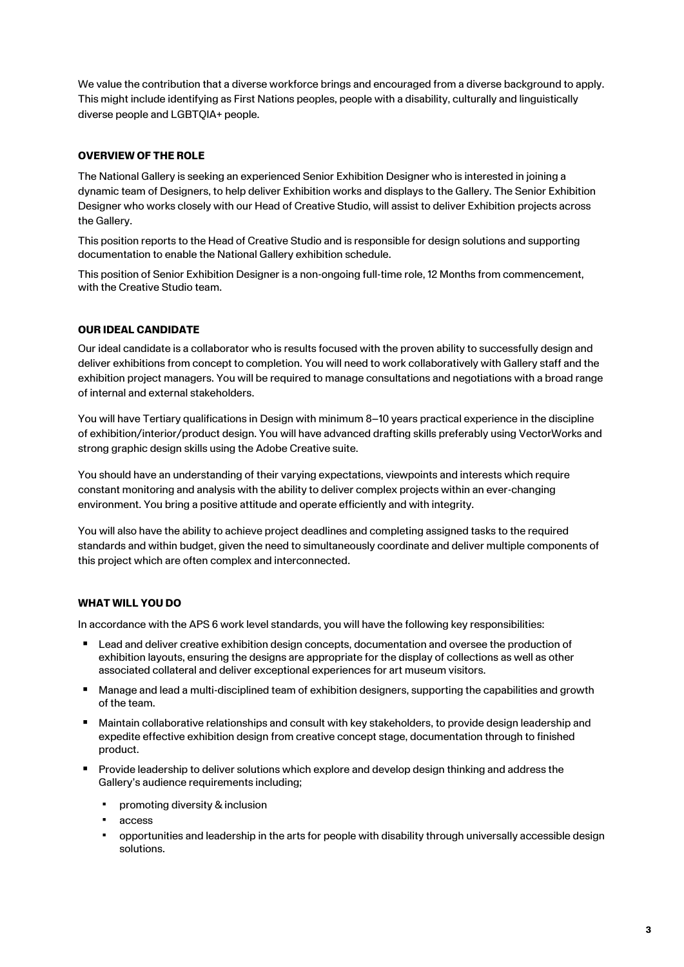We value the contribution that a diverse workforce brings and encouraged from a diverse background to apply. This might include identifying as First Nations peoples, people with a disability, culturally and linguistically diverse people and LGBTQIA+ people.

# **OVERVIEW OF THE ROLE**

The National Gallery is seeking an experienced Senior Exhibition Designer who is interested in joining a dynamic team of Designers, to help deliver Exhibition works and displays to the Gallery. The Senior Exhibition Designer who works closely with our Head of Creative Studio, will assist to deliver Exhibition projects across the Gallery.

This position reports to the Head of Creative Studio and is responsible for design solutions and supporting documentation to enable the National Gallery exhibition schedule.

This position of Senior Exhibition Designer is a non-ongoing full-time role, 12 Months from commencement, with the Creative Studio team.

## **OUR IDEAL CANDIDATE**

Our ideal candidate is a collaborator who is results focused with the proven ability to successfully design and deliver exhibitions from concept to completion. You will need to work collaboratively with Gallery staff and the exhibition project managers. You will be required to manage consultations and negotiations with a broad range of internal and external stakeholders.

You will have Tertiary qualifications in Design with minimum 8–10 years practical experience in the discipline of exhibition/interior/product design. You will have advanced drafting skills preferably using VectorWorks and strong graphic design skills using the Adobe Creative suite.

You should have an understanding of their varying expectations, viewpoints and interests which require constant monitoring and analysis with the ability to deliver complex projects within an ever-changing environment. You bring a positive attitude and operate efficiently and with integrity.

You will also have the ability to achieve project deadlines and completing assigned tasks to the required standards and within budget, given the need to simultaneously coordinate and deliver multiple components of this project which are often complex and interconnected.

## **WHAT WILL YOU DO**

In accordance with the APS 6 work level standards, you will have the following key responsibilities:

- Lead and deliver creative exhibition design concepts, documentation and oversee the production of exhibition layouts, ensuring the designs are appropriate for the display of collections as well as other associated collateral and deliver exceptional experiences for art museum visitors.
- Manage and lead a multi-disciplined team of exhibition designers, supporting the capabilities and growth of the team.
- Maintain collaborative relationships and consult with key stakeholders, to provide design leadership and expedite effective exhibition design from creative concept stage, documentation through to finished product.
- Provide leadership to deliver solutions which explore and develop design thinking and address the Gallery's audience requirements including;
	- promoting diversity & inclusion
	- access
	- opportunities and leadership in the arts for people with disability through universally accessible design solutions.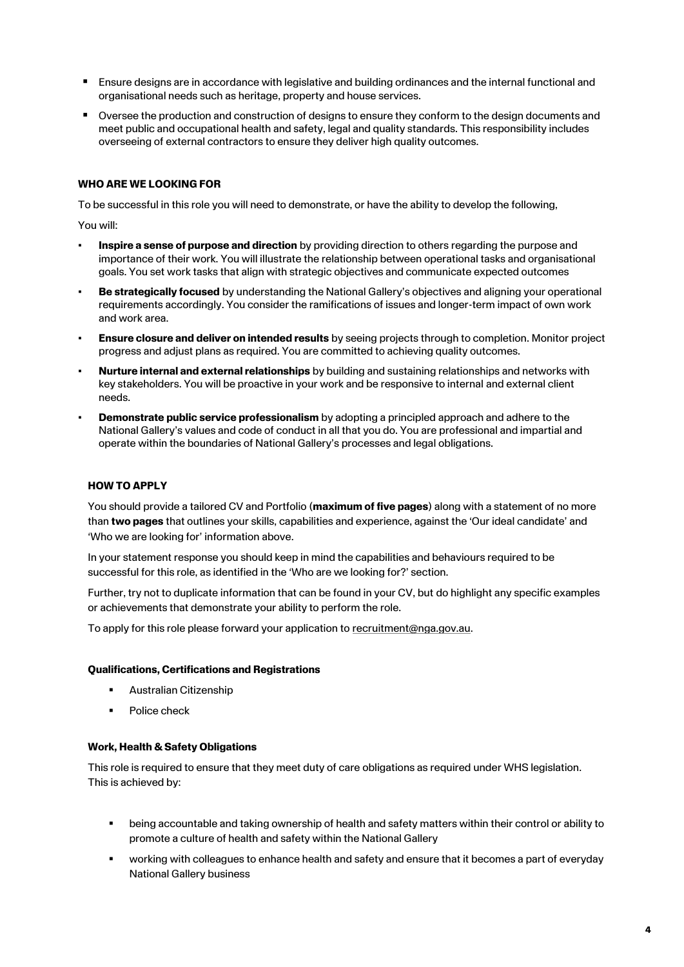- Ensure designs are in accordance with legislative and building ordinances and the internal functional and organisational needs such as heritage, property and house services.
- Oversee the production and construction of designs to ensure they conform to the design documents and meet public and occupational health and safety, legal and quality standards. This responsibility includes overseeing of external contractors to ensure they deliver high quality outcomes.

#### **WHO ARE WE LOOKING FOR**

To be successful in this role you will need to demonstrate, or have the ability to develop the following,

You will:

- **Inspire a sense of purpose and direction** by providing direction to others regarding the purpose and importance of their work. You will illustrate the relationship between operational tasks and organisational goals. You set work tasks that align with strategic objectives and communicate expected outcomes
- **Be strategically focused** by understanding the National Gallery's objectives and aligning your operational requirements accordingly. You consider the ramifications of issues and longer-term impact of own work and work area.
- **Ensure closure and deliver on intended results** by seeing projects through to completion. Monitor project progress and adjust plans as required. You are committed to achieving quality outcomes.
- **Nurture internal and external relationships** by building and sustaining relationships and networks with key stakeholders. You will be proactive in your work and be responsive to internal and external client needs.
- **Demonstrate public service professionalism** by adopting a principled approach and adhere to the National Gallery's values and code of conduct in all that you do. You are professional and impartial and operate within the boundaries of National Gallery's processes and legal obligations.

#### **HOW TO APPLY**

You should provide a tailored CV and Portfolio (**maximum of five pages**) along with a statement of no more than **two pages** that outlines your skills, capabilities and experience, against the 'Our ideal candidate' and 'Who we are looking for' information above.

In your statement response you should keep in mind the capabilities and behaviours required to be successful for this role, as identified in the 'Who are we looking for?' section.

Further, try not to duplicate information that can be found in your CV, but do highlight any specific examples or achievements that demonstrate your ability to perform the role.

To apply for this role please forward your application to [recruitment@nga.gov.au.](mailto:recruitment@nga.gov.au)

#### **Qualifications, Certifications and Registrations**

- **Australian Citizenship**
- Police check

#### **Work, Health & Safety Obligations**

This role is required to ensure that they meet duty of care obligations as required under WHS legislation. This is achieved by:

- being accountable and taking ownership of health and safety matters within their control or ability to promote a culture of health and safety within the National Gallery
- working with colleagues to enhance health and safety and ensure that it becomes a part of everyday National Gallery business